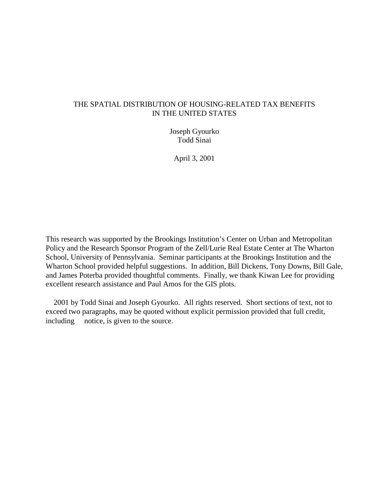# THE SPATIAL DISTRIBUTION OF HOUSING-RELATED TAX BENEFITS IN THE UNITED STATES

Joseph Gyourko Todd Sinai

April 3, 2001

This research was supported by the Brookings Institution's Center on Urban and Metropolitan Policy and the Research Sponsor Program of the Zell/Lurie Real Estate Center at The Wharton School, University of Pennsylvania. Seminar participants at the Brookings Institution and the Wharton School provided helpful suggestions. In addition, Bill Dickens, Tony Downs, Bill Gale, and James Poterba provided thoughtful comments. Finally, we thank Kiwan Lee for providing excellent research assistance and Paul Amos for the GIS plots.

 2001 by Todd Sinai and Joseph Gyourko. All rights reserved. Short sections of text, not to exceed two paragraphs, may be quoted without explicit permission provided that full credit, including  $\odot$  notice, is given to the source.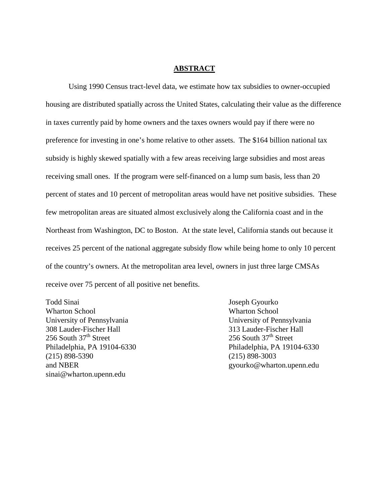#### **ABSTRACT**

Using 1990 Census tract-level data, we estimate how tax subsidies to owner-occupied housing are distributed spatially across the United States, calculating their value as the difference in taxes currently paid by home owners and the taxes owners would pay if there were no preference for investing in one's home relative to other assets. The \$164 billion national tax subsidy is highly skewed spatially with a few areas receiving large subsidies and most areas receiving small ones. If the program were self-financed on a lump sum basis, less than 20 percent of states and 10 percent of metropolitan areas would have net positive subsidies. These few metropolitan areas are situated almost exclusively along the California coast and in the Northeast from Washington, DC to Boston. At the state level, California stands out because it receives 25 percent of the national aggregate subsidy flow while being home to only 10 percent of the country's owners. At the metropolitan area level, owners in just three large CMSAs receive over 75 percent of all positive net benefits.

Todd Sinai Joseph Gyourko Wharton School Wharton School University of Pennsylvania University of Pennsylvania 308 Lauder-Fischer Hall 313 Lauder-Fischer Hall  $256$  South  $37<sup>th</sup>$  Street 256 South  $37<sup>th</sup>$  Street (215) 898-5390 (215) 898-3003 sinai@wharton.upenn.edu

Philadelphia, PA 19104-6330 Philadelphia, PA 19104-6330 and NBER gyourko@wharton.upenn.edu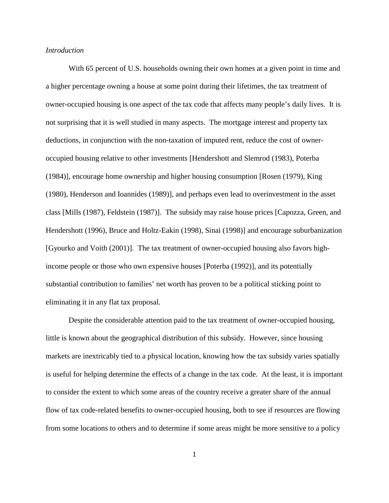## *Introduction*

With 65 percent of U.S. households owning their own homes at a given point in time and a higher percentage owning a house at some point during their lifetimes, the tax treatment of owner-occupied housing is one aspect of the tax code that affects many people's daily lives. It is not surprising that it is well studied in many aspects. The mortgage interest and property tax deductions, in conjunction with the non-taxation of imputed rent, reduce the cost of owneroccupied housing relative to other investments [Hendershott and Slemrod (1983), Poterba (1984)], encourage home ownership and higher housing consumption [Rosen (1979), King (1980), Henderson and Ioannides (1989)], and perhaps even lead to overinvestment in the asset class [Mills (1987), Feldstein (1987)]. The subsidy may raise house prices [Capozza, Green, and Hendershott (1996), Bruce and Holtz-Eakin (1998), Sinai (1998)] and encourage suburbanization [Gyourko and Voith (2001)]. The tax treatment of owner-occupied housing also favors highincome people or those who own expensive houses [Poterba (1992)], and its potentially substantial contribution to families' net worth has proven to be a political sticking point to eliminating it in any flat tax proposal.

Despite the considerable attention paid to the tax treatment of owner-occupied housing, little is known about the geographical distribution of this subsidy. However, since housing markets are inextricably tied to a physical location, knowing how the tax subsidy varies spatially is useful for helping determine the effects of a change in the tax code. At the least, it is important to consider the extent to which some areas of the country receive a greater share of the annual flow of tax code-related benefits to owner-occupied housing, both to see if resources are flowing from some locations to others and to determine if some areas might be more sensitive to a policy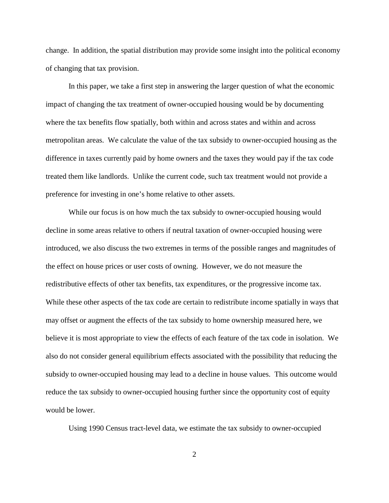change. In addition, the spatial distribution may provide some insight into the political economy of changing that tax provision.

In this paper, we take a first step in answering the larger question of what the economic impact of changing the tax treatment of owner-occupied housing would be by documenting where the tax benefits flow spatially, both within and across states and within and across metropolitan areas. We calculate the value of the tax subsidy to owner-occupied housing as the difference in taxes currently paid by home owners and the taxes they would pay if the tax code treated them like landlords. Unlike the current code, such tax treatment would not provide a preference for investing in one's home relative to other assets.

While our focus is on how much the tax subsidy to owner-occupied housing would decline in some areas relative to others if neutral taxation of owner-occupied housing were introduced, we also discuss the two extremes in terms of the possible ranges and magnitudes of the effect on house prices or user costs of owning. However, we do not measure the redistributive effects of other tax benefits, tax expenditures, or the progressive income tax. While these other aspects of the tax code are certain to redistribute income spatially in ways that may offset or augment the effects of the tax subsidy to home ownership measured here, we believe it is most appropriate to view the effects of each feature of the tax code in isolation. We also do not consider general equilibrium effects associated with the possibility that reducing the subsidy to owner-occupied housing may lead to a decline in house values. This outcome would reduce the tax subsidy to owner-occupied housing further since the opportunity cost of equity would be lower.

Using 1990 Census tract-level data, we estimate the tax subsidy to owner-occupied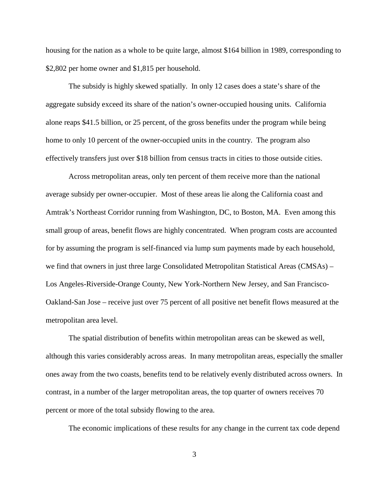housing for the nation as a whole to be quite large, almost \$164 billion in 1989, corresponding to \$2,802 per home owner and \$1,815 per household.

The subsidy is highly skewed spatially. In only 12 cases does a state's share of the aggregate subsidy exceed its share of the nation's owner-occupied housing units. California alone reaps \$41.5 billion, or 25 percent, of the gross benefits under the program while being home to only 10 percent of the owner-occupied units in the country. The program also effectively transfers just over \$18 billion from census tracts in cities to those outside cities.

Across metropolitan areas, only ten percent of them receive more than the national average subsidy per owner-occupier. Most of these areas lie along the California coast and Amtrak's Northeast Corridor running from Washington, DC, to Boston, MA. Even among this small group of areas, benefit flows are highly concentrated. When program costs are accounted for by assuming the program is self-financed via lump sum payments made by each household, we find that owners in just three large Consolidated Metropolitan Statistical Areas (CMSAs) – Los Angeles-Riverside-Orange County, New York-Northern New Jersey, and San Francisco-Oakland-San Jose – receive just over 75 percent of all positive net benefit flows measured at the metropolitan area level.

The spatial distribution of benefits within metropolitan areas can be skewed as well, although this varies considerably across areas. In many metropolitan areas, especially the smaller ones away from the two coasts, benefits tend to be relatively evenly distributed across owners. In contrast, in a number of the larger metropolitan areas, the top quarter of owners receives 70 percent or more of the total subsidy flowing to the area.

The economic implications of these results for any change in the current tax code depend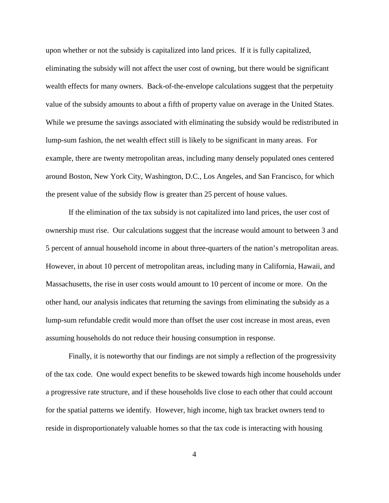upon whether or not the subsidy is capitalized into land prices. If it is fully capitalized, eliminating the subsidy will not affect the user cost of owning, but there would be significant wealth effects for many owners. Back-of-the-envelope calculations suggest that the perpetuity value of the subsidy amounts to about a fifth of property value on average in the United States. While we presume the savings associated with eliminating the subsidy would be redistributed in lump-sum fashion, the net wealth effect still is likely to be significant in many areas. For example, there are twenty metropolitan areas, including many densely populated ones centered around Boston, New York City, Washington, D.C., Los Angeles, and San Francisco, for which the present value of the subsidy flow is greater than 25 percent of house values.

If the elimination of the tax subsidy is not capitalized into land prices, the user cost of ownership must rise. Our calculations suggest that the increase would amount to between 3 and 5 percent of annual household income in about three-quarters of the nation's metropolitan areas. However, in about 10 percent of metropolitan areas, including many in California, Hawaii, and Massachusetts, the rise in user costs would amount to 10 percent of income or more. On the other hand, our analysis indicates that returning the savings from eliminating the subsidy as a lump-sum refundable credit would more than offset the user cost increase in most areas, even assuming households do not reduce their housing consumption in response.

Finally, it is noteworthy that our findings are not simply a reflection of the progressivity of the tax code. One would expect benefits to be skewed towards high income households under a progressive rate structure, and if these households live close to each other that could account for the spatial patterns we identify. However, high income, high tax bracket owners tend to reside in disproportionately valuable homes so that the tax code is interacting with housing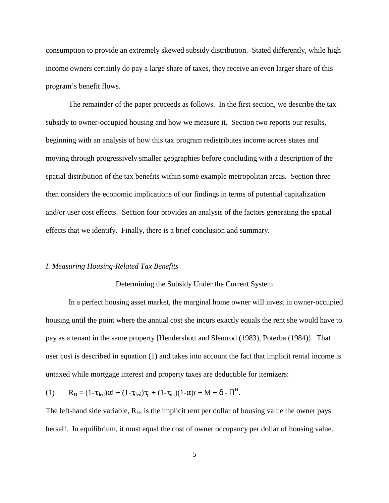consumption to provide an extremely skewed subsidy distribution. Stated differently, while high income owners certainly do pay a large share of taxes, they receive an even larger share of this program's benefit flows.

The remainder of the paper proceeds as follows. In the first section, we describe the tax subsidy to owner-occupied housing and how we measure it. Section two reports our results, beginning with an analysis of how this tax program redistributes income across states and moving through progressively smaller geographies before concluding with a description of the spatial distribution of the tax benefits within some example metropolitan areas. Section three then considers the economic implications of our findings in terms of potential capitalization and/or user cost effects. Section four provides an analysis of the factors generating the spatial effects that we identify. Finally, there is a brief conclusion and summary.

#### *I. Measuring Housing-Related Tax Benefits*

#### Determining the Subsidy Under the Current System

In a perfect housing asset market, the marginal home owner will invest in owner-occupied housing until the point where the annual cost she incurs exactly equals the rent she would have to pay as a tenant in the same property [Hendershott and Slemrod (1983), Poterba (1984)]. That user cost is described in equation (1) and takes into account the fact that implicit rental income is untaxed while mortgage interest and property taxes are deductible for itemizers:

$$
(1) \qquad R_H=(1\text{-}\tau_{ded})\alpha i+(1\text{-}\tau_{ded})\tau_p+(1\text{-}\tau_{int})(1\text{-}\alpha)r+M+\delta\text{-}\Pi^H.
$$

The left-hand side variable,  $R_H$ , is the implicit rent per dollar of housing value the owner pays herself. In equilibrium, it must equal the cost of owner occupancy per dollar of housing value.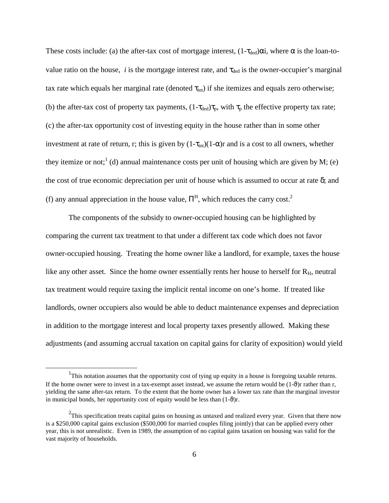These costs include: (a) the after-tax cost of mortgage interest,  $(1-\tau_{\text{ded}})\alpha i$ , where  $\alpha$  is the loan-tovalue ratio on the house, *i* is the mortgage interest rate, and  $\tau_{\text{ded}}$  is the owner-occupier's marginal tax rate which equals her marginal rate (denoted  $\tau_{\text{int}}$ ) if she itemizes and equals zero otherwise; (b) the after-tax cost of property tax payments,  $(1-\tau_{\text{ded}})\tau_p$ , with  $\tau_p$  the effective property tax rate; (c) the after-tax opportunity cost of investing equity in the house rather than in some other investment at rate of return, r; this is given by  $(1-\tau_{int})(1-\alpha)r$  and is a cost to all owners, whether they itemize or not;<sup>1</sup> (d) annual maintenance costs per unit of housing which are given by M; (e) the cost of true economic depreciation per unit of house which is assumed to occur at rate  $\delta$ ; and (f) any annual appreciation in the house value,  $\Pi^H$ , which reduces the carry cost.<sup>2</sup>

The components of the subsidy to owner-occupied housing can be highlighted by comparing the current tax treatment to that under a different tax code which does not favor owner-occupied housing. Treating the home owner like a landlord, for example, taxes the house like any other asset. Since the home owner essentially rents her house to herself for  $R_H$ , neutral tax treatment would require taxing the implicit rental income on one's home. If treated like landlords, owner occupiers also would be able to deduct maintenance expenses and depreciation in addition to the mortgage interest and local property taxes presently allowed. Making these adjustments (and assuming accrual taxation on capital gains for clarity of exposition) would yield

<sup>&</sup>lt;u>1</u>  $1$ This notation assumes that the opportunity cost of tying up equity in a house is foregoing taxable returns. If the home owner were to invest in a tax-exempt asset instead, we assume the return would be  $(1-\theta)r$  rather than r, yielding the same after-tax return. To the extent that the home owner has a lower tax rate than the marginal investor in municipal bonds, her opportunity cost of equity would be less than  $(1-\theta)r$ .

 $2$ This specification treats capital gains on housing as untaxed and realized every year. Given that there now is a \$250,000 capital gains exclusion (\$500,000 for married couples filing jointly) that can be applied every other year, this is not unrealistic. Even in 1989, the assumption of no capital gains taxation on housing was valid for the vast majority of households.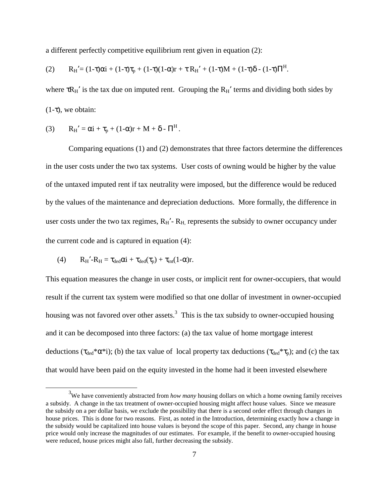a different perfectly competitive equilibrium rent given in equation (2):

$$
(2) \qquad R_H^{\prime} = (1-\tau)\alpha i + (1-\tau)\tau_p + (1-\tau)(1-\alpha)r + \tau \ R_H^{\prime} + (1-\tau)M + (1-\tau)\delta - (1-\tau)\Pi^H.
$$

where  $\tau R_H'$  is the tax due on imputed rent. Grouping the  $R_H'$  terms and dividing both sides by  $(1-\tau)$ , we obtain:

(3) 
$$
R_H' = \alpha i + \tau_p + (1-\alpha)r + M + \delta \cdot \Pi^H.
$$

 Comparing equations (1) and (2) demonstrates that three factors determine the differences in the user costs under the two tax systems. User costs of owning would be higher by the value of the untaxed imputed rent if tax neutrality were imposed, but the difference would be reduced by the values of the maintenance and depreciation deductions. More formally, the difference in user costs under the two tax regimes,  $R_H'$ -  $R_H$ , represents the subsidy to owner occupancy under the current code and is captured in equation (4):

(4) 
$$
R_H - R_H = \tau_{\text{ded}} \alpha i + \tau_{\text{ded}} (\tau_p) + \tau_{\text{int}} (1 - \alpha) r.
$$

This equation measures the change in user costs, or implicit rent for owner-occupiers, that would result if the current tax system were modified so that one dollar of investment in owner-occupied housing was not favored over other assets.<sup>3</sup> This is the tax subsidy to owner-occupied housing and it can be decomposed into three factors: (a) the tax value of home mortgage interest deductions ( $\tau_{\text{ded}}*\alpha^*i$ ); (b) the tax value of local property tax deductions ( $\tau_{\text{ded}}*\tau_p$ ); and (c) the tax that would have been paid on the equity invested in the home had it been invested elsewhere

 $\frac{1}{3}$ <sup>3</sup>We have conveniently abstracted from *how many* housing dollars on which a home owning family receives a subsidy. A change in the tax treatment of owner-occupied housing might affect house values. Since we measure the subsidy on a per dollar basis, we exclude the possibility that there is a second order effect through changes in house prices. This is done for two reasons. First, as noted in the Introduction, determining exactly how a change in the subsidy would be capitalized into house values is beyond the scope of this paper. Second, any change in house price would only increase the magnitudes of our estimates. For example, if the benefit to owner-occupied housing were reduced, house prices might also fall, further decreasing the subsidy.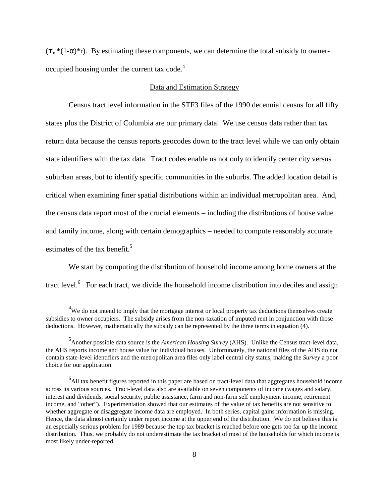$(\tau_{int}*(1-\alpha)*r)$ . By estimating these components, we can determine the total subsidy to owneroccupied housing under the current tax code.<sup>4</sup>

#### Data and Estimation Strategy

 Census tract level information in the STF3 files of the 1990 decennial census for all fifty states plus the District of Columbia are our primary data. We use census data rather than tax return data because the census reports geocodes down to the tract level while we can only obtain state identifiers with the tax data. Tract codes enable us not only to identify center city versus suburban areas, but to identify specific communities in the suburbs. The added location detail is critical when examining finer spatial distributions within an individual metropolitan area. And, the census data report most of the crucial elements – including the distributions of house value and family income, along with certain demographics – needed to compute reasonably accurate estimates of the tax benefit.<sup>5</sup>

We start by computing the distribution of household income among home owners at the tract level.<sup>6</sup> For each tract, we divide the household income distribution into deciles and assign

 <sup>4</sup> <sup>4</sup>We do not intend to imply that the mortgage interest or local property tax deductions themselves create subsidies to owner occupiers. The subsidy arises from the non-taxation of imputed rent in conjunction with those deductions. However, mathematically the subsidy can be represented by the three terms in equation (4).

<sup>5</sup> Another possible data source is the *American Housing Survey* (AHS). Unlike the Census tract-level data, the AHS reports income and house value for individual houses. Unfortunately, the national files of the AHS do not contain state-level identifiers and the metropolitan area files only label central city status, making the *Survey* a poor choice for our application.

<sup>&</sup>lt;sup>6</sup>All tax benefit figures reported in this paper are based on tract-level data that aggregates household income across its various sources. Tract-level data also are available on seven components of income (wages and salary, interest and dividends, social security, public assistance, farm and non-farm self employment income, retirement income, and "other"). Experimentation showed that our estimates of the value of tax benefits are not sensitive to whether aggregate or disaggregate income data are employed. In both series, capital gains information is missing. Hence, the data almost certainly under report income at the upper end of the distribution. We do not believe this is an especially serious problem for 1989 because the top tax bracket is reached before one gets too far up the income distribution. Thus, we probably do not underestimate the tax bracket of most of the households for which income is most likely under-reported.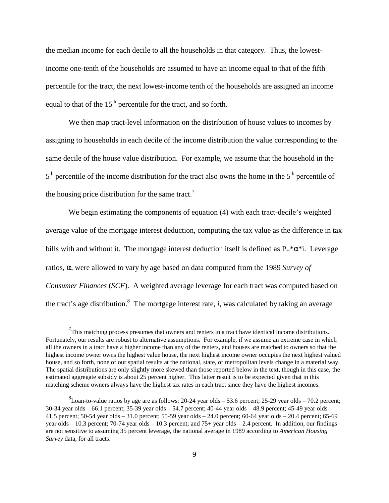the median income for each decile to all the households in that category. Thus, the lowestincome one-tenth of the households are assumed to have an income equal to that of the fifth percentile for the tract, the next lowest-income tenth of the households are assigned an income equal to that of the  $15<sup>th</sup>$  percentile for the tract, and so forth.

We then map tract-level information on the distribution of house values to incomes by assigning to households in each decile of the income distribution the value corresponding to the same decile of the house value distribution. For example, we assume that the household in the  $5<sup>th</sup>$  percentile of the income distribution for the tract also owns the home in the  $5<sup>th</sup>$  percentile of the housing price distribution for the same tract.<sup>7</sup>

We begin estimating the components of equation (4) with each tract-decile's weighted average value of the mortgage interest deduction, computing the tax value as the difference in tax bills with and without it. The mortgage interest deduction itself is defined as  $P_H^* \alpha^*$ i. Leverage ratios, α, were allowed to vary by age based on data computed from the 1989 *Survey of Consumer Finances* (*SCF*). A weighted average leverage for each tract was computed based on the tract's age distribution.<sup>8</sup> The mortgage interest rate,  $i$ , was calculated by taking an average

 <sup>7</sup>  $7$ This matching process presumes that owners and renters in a tract have identical income distributions. Fortunately, our results are robust to alternative assumptions. For example, if we assume an extreme case in which all the owners in a tract have a higher income than any of the renters, and houses are matched to owners so that the highest income owner owns the highest value house, the next highest income owner occupies the next highest valued house, and so forth, none of our spatial results at the national, state, or metropolitan levels change in a material way. The spatial distributions are only slightly more skewed than those reported below in the text, though in this case, the estimated aggregate subsidy is about 25 percent higher. This latter result is to be expected given that in this matching scheme owners always have the highest tax rates in each tract since they have the highest incomes.

 ${}^{8}$ Loan-to-value ratios by age are as follows: 20-24 year olds – 53.6 percent; 25-29 year olds – 70.2 percent; 30-34 year olds – 66.1 percent; 35-39 year olds – 54.7 percent; 40-44 year olds – 48.9 percent; 45-49 year olds – 41.5 percent; 50-54 year olds – 31.0 percent; 55-59 year olds – 24.0 percent; 60-64 year olds – 20.4 percent; 65-69 year olds  $-10.3$  percent;  $70-74$  year olds  $-10.3$  percent; and  $75+$  year olds  $-2.4$  percent. In addition, our findings are not sensitive to assuming 35 percent leverage, the national average in 1989 according to *American Housing Survey* data, for all tracts.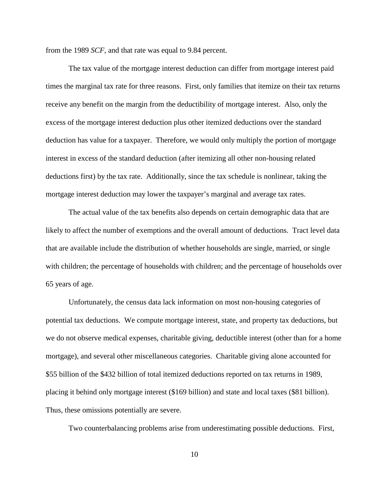from the 1989 *SCF*, and that rate was equal to 9.84 percent.

The tax value of the mortgage interest deduction can differ from mortgage interest paid times the marginal tax rate for three reasons. First, only families that itemize on their tax returns receive any benefit on the margin from the deductibility of mortgage interest. Also, only the excess of the mortgage interest deduction plus other itemized deductions over the standard deduction has value for a taxpayer. Therefore, we would only multiply the portion of mortgage interest in excess of the standard deduction (after itemizing all other non-housing related deductions first) by the tax rate. Additionally, since the tax schedule is nonlinear, taking the mortgage interest deduction may lower the taxpayer's marginal and average tax rates.

The actual value of the tax benefits also depends on certain demographic data that are likely to affect the number of exemptions and the overall amount of deductions. Tract level data that are available include the distribution of whether households are single, married, or single with children; the percentage of households with children; and the percentage of households over 65 years of age.

Unfortunately, the census data lack information on most non-housing categories of potential tax deductions. We compute mortgage interest, state, and property tax deductions, but we do not observe medical expenses, charitable giving, deductible interest (other than for a home mortgage), and several other miscellaneous categories. Charitable giving alone accounted for \$55 billion of the \$432 billion of total itemized deductions reported on tax returns in 1989, placing it behind only mortgage interest (\$169 billion) and state and local taxes (\$81 billion). Thus, these omissions potentially are severe.

Two counterbalancing problems arise from underestimating possible deductions. First,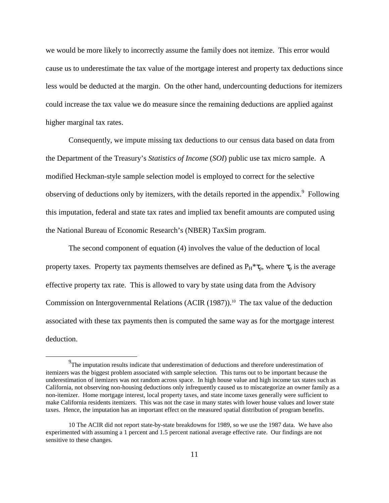we would be more likely to incorrectly assume the family does not itemize. This error would cause us to underestimate the tax value of the mortgage interest and property tax deductions since less would be deducted at the margin. On the other hand, undercounting deductions for itemizers could increase the tax value we do measure since the remaining deductions are applied against higher marginal tax rates.

Consequently, we impute missing tax deductions to our census data based on data from the Department of the Treasury's *Statistics of Income* (*SOI*) public use tax micro sample. A modified Heckman-style sample selection model is employed to correct for the selective observing of deductions only by itemizers, with the details reported in the appendix.<sup>9</sup> Following this imputation, federal and state tax rates and implied tax benefit amounts are computed using the National Bureau of Economic Research's (NBER) TaxSim program.

The second component of equation (4) involves the value of the deduction of local property taxes. Property tax payments themselves are defined as  $P_H * \tau_p$ , where  $\tau_p$  is the average effective property tax rate. This is allowed to vary by state using data from the Advisory Commission on Intergovernmental Relations (ACIR  $(1987)$ ).<sup>10</sup> The tax value of the deduction associated with these tax payments then is computed the same way as for the mortgage interest deduction.

 <sup>9</sup>  $<sup>9</sup>$ The imputation results indicate that underestimation of deductions and therefore underestimation of</sup> itemizers was the biggest problem associated with sample selection. This turns out to be important because the underestimation of itemizers was not random across space. In high house value and high income tax states such as California, not observing non-housing deductions only infrequently caused us to miscategorize an owner family as a non-itemizer. Home mortgage interest, local property taxes, and state income taxes generally were sufficient to make California residents itemizers. This was not the case in many states with lower house values and lower state taxes. Hence, the imputation has an important effect on the measured spatial distribution of program benefits.

<sup>10</sup> The ACIR did not report state-by-state breakdowns for 1989, so we use the 1987 data. We have also experimented with assuming a 1 percent and 1.5 percent national average effective rate. Our findings are not sensitive to these changes.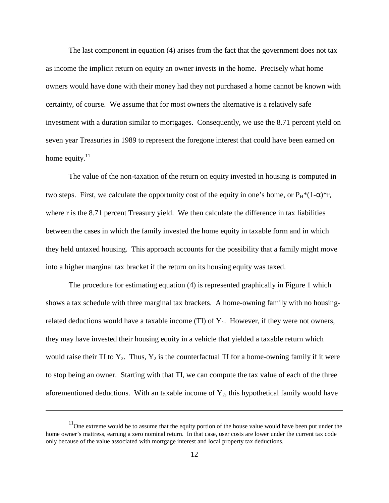The last component in equation (4) arises from the fact that the government does not tax as income the implicit return on equity an owner invests in the home. Precisely what home owners would have done with their money had they not purchased a home cannot be known with certainty, of course. We assume that for most owners the alternative is a relatively safe investment with a duration similar to mortgages. Consequently, we use the 8.71 percent yield on seven year Treasuries in 1989 to represent the foregone interest that could have been earned on home equity.<sup>11</sup>

The value of the non-taxation of the return on equity invested in housing is computed in two steps. First, we calculate the opportunity cost of the equity in one's home, or  $P_H^*(1-\alpha)^*r$ , where r is the 8.71 percent Treasury yield. We then calculate the difference in tax liabilities between the cases in which the family invested the home equity in taxable form and in which they held untaxed housing. This approach accounts for the possibility that a family might move into a higher marginal tax bracket if the return on its housing equity was taxed.

The procedure for estimating equation (4) is represented graphically in Figure 1 which shows a tax schedule with three marginal tax brackets. A home-owning family with no housingrelated deductions would have a taxable income (TI) of  $Y_1$ . However, if they were not owners, they may have invested their housing equity in a vehicle that yielded a taxable return which would raise their TI to  $Y_2$ . Thus,  $Y_2$  is the counterfactual TI for a home-owning family if it were to stop being an owner. Starting with that TI, we can compute the tax value of each of the three aforementioned deductions. With an taxable income of  $Y_2$ , this hypothetical family would have

 $\overline{a}$ 

 $11$ One extreme would be to assume that the equity portion of the house value would have been put under the home owner's mattress, earning a zero nominal return. In that case, user costs are lower under the current tax code only because of the value associated with mortgage interest and local property tax deductions.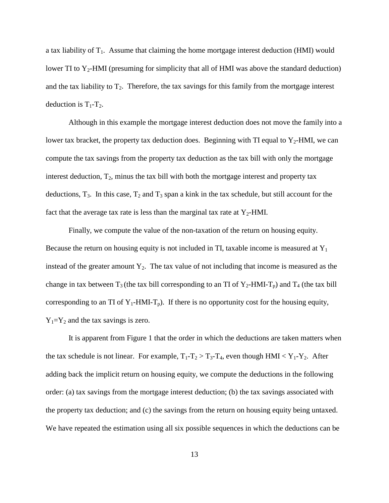a tax liability of  $T_1$ . Assume that claiming the home mortgage interest deduction (HMI) would lower TI to  $Y_2$ -HMI (presuming for simplicity that all of HMI was above the standard deduction) and the tax liability to  $T_2$ . Therefore, the tax savings for this family from the mortgage interest deduction is  $T_1$ - $T_2$ .

Although in this example the mortgage interest deduction does not move the family into a lower tax bracket, the property tax deduction does. Beginning with TI equal to  $Y_2$ -HMI, we can compute the tax savings from the property tax deduction as the tax bill with only the mortgage interest deduction,  $T_2$ , minus the tax bill with both the mortgage interest and property tax deductions,  $T_3$ . In this case,  $T_2$  and  $T_3$  span a kink in the tax schedule, but still account for the fact that the average tax rate is less than the marginal tax rate at  $Y_2$ -HMI.

Finally, we compute the value of the non-taxation of the return on housing equity. Because the return on housing equity is not included in TI, taxable income is measured at  $Y_1$ instead of the greater amount  $Y_2$ . The tax value of not including that income is measured as the change in tax between  $T_3$  (the tax bill corresponding to an TI of Y<sub>2</sub>-HMI-T<sub>p</sub>) and T<sub>4</sub> (the tax bill corresponding to an TI of  $Y_1$ -HMI-T<sub>p</sub>). If there is no opportunity cost for the housing equity,  $Y_1 = Y_2$  and the tax savings is zero.

It is apparent from Figure 1 that the order in which the deductions are taken matters when the tax schedule is not linear. For example,  $T_1 - T_2 > T_3 - T_4$ , even though HMI <  $Y_1 - Y_2$ . After adding back the implicit return on housing equity, we compute the deductions in the following order: (a) tax savings from the mortgage interest deduction; (b) the tax savings associated with the property tax deduction; and (c) the savings from the return on housing equity being untaxed. We have repeated the estimation using all six possible sequences in which the deductions can be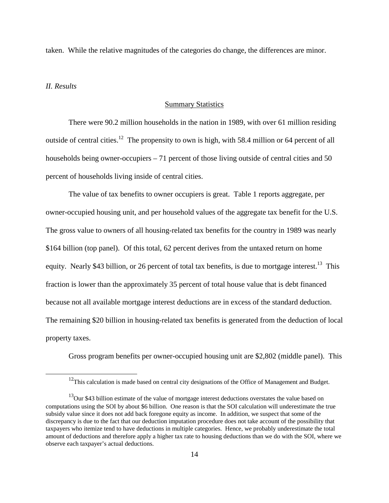taken. While the relative magnitudes of the categories do change, the differences are minor.

## *II. Results*

## Summary Statistics

There were 90.2 million households in the nation in 1989, with over 61 million residing outside of central cities.<sup>12</sup> The propensity to own is high, with 58.4 million or 64 percent of all households being owner-occupiers – 71 percent of those living outside of central cities and 50 percent of households living inside of central cities.

The value of tax benefits to owner occupiers is great. Table 1 reports aggregate, per owner-occupied housing unit, and per household values of the aggregate tax benefit for the U.S. The gross value to owners of all housing-related tax benefits for the country in 1989 was nearly \$164 billion (top panel). Of this total, 62 percent derives from the untaxed return on home equity. Nearly \$43 billion, or 26 percent of total tax benefits, is due to mortgage interest.<sup>13</sup> This fraction is lower than the approximately 35 percent of total house value that is debt financed because not all available mortgage interest deductions are in excess of the standard deduction. The remaining \$20 billion in housing-related tax benefits is generated from the deduction of local property taxes.

Gross program benefits per owner-occupied housing unit are \$2,802 (middle panel). This

 $12$ This calculation is made based on central city designations of the Office of Management and Budget.

<sup>&</sup>lt;sup>13</sup>Our \$43 billion estimate of the value of mortgage interest deductions overstates the value based on computations using the SOI by about \$6 billion. One reason is that the SOI calculation will underestimate the true subsidy value since it does not add back foregone equity as income. In addition, we suspect that some of the discrepancy is due to the fact that our deduction imputation procedure does not take account of the possibility that taxpayers who itemize tend to have deductions in multiple categories. Hence, we probably underestimate the total amount of deductions and therefore apply a higher tax rate to housing deductions than we do with the SOI, where we observe each taxpayer's actual deductions.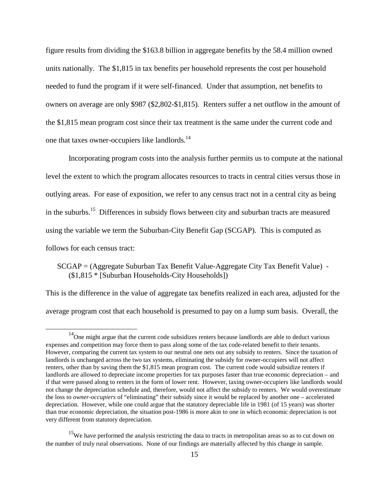figure results from dividing the \$163.8 billion in aggregate benefits by the 58.4 million owned units nationally. The \$1,815 in tax benefits per household represents the cost per household needed to fund the program if it were self-financed. Under that assumption, net benefits to owners on average are only \$987 (\$2,802-\$1,815). Renters suffer a net outflow in the amount of the \$1,815 mean program cost since their tax treatment is the same under the current code and one that taxes owner-occupiers like landlords.<sup>14</sup>

Incorporating program costs into the analysis further permits us to compute at the national level the extent to which the program allocates resources to tracts in central cities versus those in outlying areas. For ease of exposition, we refer to any census tract not in a central city as being in the suburbs.15 Differences in subsidy flows between city and suburban tracts are measured using the variable we term the Suburban-City Benefit Gap (SCGAP). This is computed as follows for each census tract:

# SCGAP = (Aggregate Suburban Tax Benefit Value-Aggregate City Tax Benefit Value) - (\$1,815 \* [Suburban Households-City Households])

This is the difference in the value of aggregate tax benefits realized in each area, adjusted for the average program cost that each household is presumed to pay on a lump sum basis. Overall, the

<sup>&</sup>lt;sup>14</sup>One might argue that the current code subsidizes renters because landlords are able to deduct various expenses and competition may force them to pass along some of the tax code-related benefit to their tenants. However, comparing the current tax system to our neutral one nets out any subsidy to renters. Since the taxation of landlords is unchanged across the two tax systems, eliminating the subsidy for owner-occupiers will not affect renters, other than by saving them the \$1,815 mean program cost. The current code would subsidize renters if landlords are allowed to depreciate income properties for tax purposes faster than true economic depreciation – and if that were passed along to renters in the form of lower rent. However, taxing owner-occupiers like landlords would not change the depreciation schedule and, therefore, would not affect the subsidy to renters. We would overestimate the loss to *owner-occupiers* of "eliminating" their subsidy since it would be replaced by another one – accelerated depreciation. However, while one could argue that the statutory depreciable life in 1981 (of 15 years) was shorter than true economic depreciation, the situation post-1986 is more akin to one in which economic depreciation is not very different from statutory depreciation.

<sup>&</sup>lt;sup>15</sup>We have performed the analysis restricting the data to tracts in metropolitan areas so as to cut down on the number of truly rural observations. None of our findings are materially affected by this change in sample.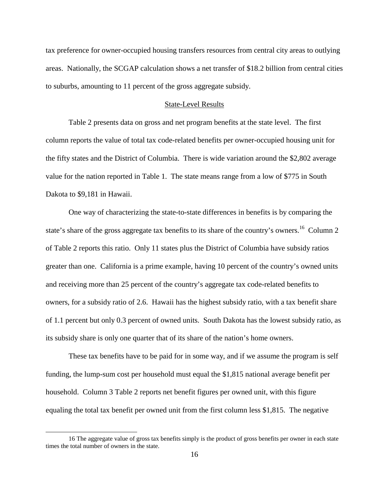tax preference for owner-occupied housing transfers resources from central city areas to outlying areas. Nationally, the SCGAP calculation shows a net transfer of \$18.2 billion from central cities to suburbs, amounting to 11 percent of the gross aggregate subsidy.

## State-Level Results

 Table 2 presents data on gross and net program benefits at the state level. The first column reports the value of total tax code-related benefits per owner-occupied housing unit for the fifty states and the District of Columbia. There is wide variation around the \$2,802 average value for the nation reported in Table 1. The state means range from a low of \$775 in South Dakota to \$9,181 in Hawaii.

One way of characterizing the state-to-state differences in benefits is by comparing the state's share of the gross aggregate tax benefits to its share of the country's owners.<sup>16</sup> Column 2 of Table 2 reports this ratio. Only 11 states plus the District of Columbia have subsidy ratios greater than one. California is a prime example, having 10 percent of the country's owned units and receiving more than 25 percent of the country's aggregate tax code-related benefits to owners, for a subsidy ratio of 2.6. Hawaii has the highest subsidy ratio, with a tax benefit share of 1.1 percent but only 0.3 percent of owned units. South Dakota has the lowest subsidy ratio, as its subsidy share is only one quarter that of its share of the nation's home owners.

These tax benefits have to be paid for in some way, and if we assume the program is self funding, the lump-sum cost per household must equal the \$1,815 national average benefit per household. Column 3 Table 2 reports net benefit figures per owned unit, with this figure equaling the total tax benefit per owned unit from the first column less \$1,815. The negative

 $\overline{a}$ 

<sup>16</sup> The aggregate value of gross tax benefits simply is the product of gross benefits per owner in each state times the total number of owners in the state.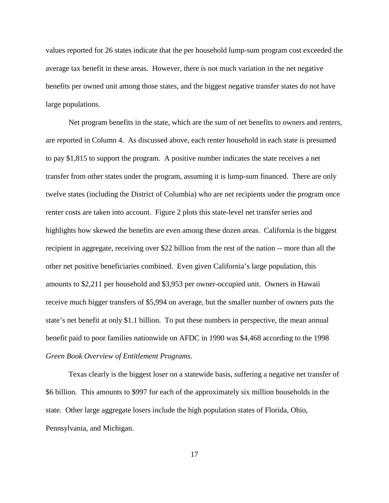values reported for 26 states indicate that the per household lump-sum program cost exceeded the average tax benefit in these areas. However, there is not much variation in the net negative benefits per owned unit among those states, and the biggest negative transfer states do not have large populations.

Net program benefits in the state, which are the sum of net benefits to owners and renters, are reported in Column 4. As discussed above, each renter household in each state is presumed to pay \$1,815 to support the program. A positive number indicates the state receives a net transfer from other states under the program, assuming it is lump-sum financed. There are only twelve states (including the District of Columbia) who are net recipients under the program once renter costs are taken into account. Figure 2 plots this state-level net transfer series and highlights how skewed the benefits are even among these dozen areas. California is the biggest recipient in aggregate, receiving over \$22 billion from the rest of the nation -- more than all the other net positive beneficiaries combined. Even given California's large population, this amounts to \$2,211 per household and \$3,953 per owner-occupied unit. Owners in Hawaii receive much bigger transfers of \$5,994 on average, but the smaller number of owners puts the state's net benefit at only \$1.1 billion. To put these numbers in perspective, the mean annual benefit paid to poor families nationwide on AFDC in 1990 was \$4,468 according to the 1998 *Green Book Overview of Entitlement Programs*.

Texas clearly is the biggest loser on a statewide basis, suffering a negative net transfer of \$6 billion. This amounts to \$997 for each of the approximately six million households in the state. Other large aggregate losers include the high population states of Florida, Ohio, Pennsylvania, and Michigan.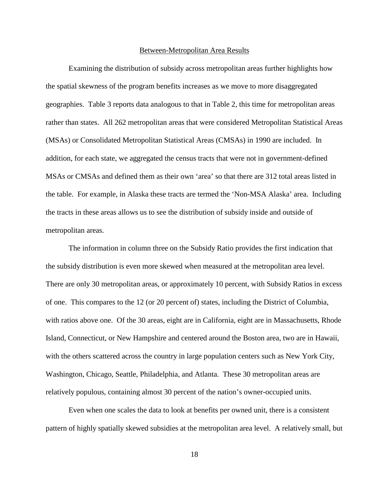#### Between-Metropolitan Area Results

Examining the distribution of subsidy across metropolitan areas further highlights how the spatial skewness of the program benefits increases as we move to more disaggregated geographies. Table 3 reports data analogous to that in Table 2, this time for metropolitan areas rather than states. All 262 metropolitan areas that were considered Metropolitan Statistical Areas (MSAs) or Consolidated Metropolitan Statistical Areas (CMSAs) in 1990 are included. In addition, for each state, we aggregated the census tracts that were not in government-defined MSAs or CMSAs and defined them as their own 'area' so that there are 312 total areas listed in the table. For example, in Alaska these tracts are termed the 'Non-MSA Alaska' area. Including the tracts in these areas allows us to see the distribution of subsidy inside and outside of metropolitan areas.

The information in column three on the Subsidy Ratio provides the first indication that the subsidy distribution is even more skewed when measured at the metropolitan area level. There are only 30 metropolitan areas, or approximately 10 percent, with Subsidy Ratios in excess of one. This compares to the 12 (or 20 percent of) states, including the District of Columbia, with ratios above one. Of the 30 areas, eight are in California, eight are in Massachusetts, Rhode Island, Connecticut, or New Hampshire and centered around the Boston area, two are in Hawaii, with the others scattered across the country in large population centers such as New York City, Washington, Chicago, Seattle, Philadelphia, and Atlanta. These 30 metropolitan areas are relatively populous, containing almost 30 percent of the nation's owner-occupied units.

Even when one scales the data to look at benefits per owned unit, there is a consistent pattern of highly spatially skewed subsidies at the metropolitan area level. A relatively small, but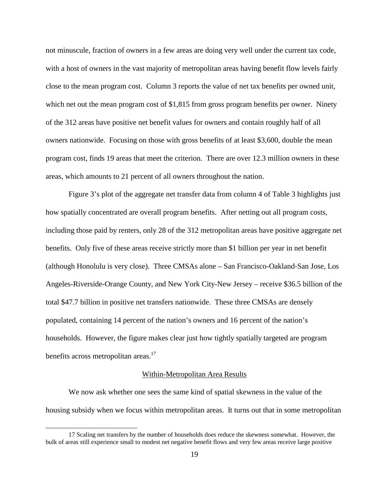not minuscule, fraction of owners in a few areas are doing very well under the current tax code, with a host of owners in the vast majority of metropolitan areas having benefit flow levels fairly close to the mean program cost. Column 3 reports the value of net tax benefits per owned unit, which net out the mean program cost of \$1,815 from gross program benefits per owner. Ninety of the 312 areas have positive net benefit values for owners and contain roughly half of all owners nationwide. Focusing on those with gross benefits of at least \$3,600, double the mean program cost, finds 19 areas that meet the criterion. There are over 12.3 million owners in these areas, which amounts to 21 percent of all owners throughout the nation.

Figure 3's plot of the aggregate net transfer data from column 4 of Table 3 highlights just how spatially concentrated are overall program benefits. After netting out all program costs, including those paid by renters, only 28 of the 312 metropolitan areas have positive aggregate net benefits. Only five of these areas receive strictly more than \$1 billion per year in net benefit (although Honolulu is very close). Three CMSAs alone – San Francisco-Oakland-San Jose, Los Angeles-Riverside-Orange County, and New York City-New Jersey – receive \$36.5 billion of the total \$47.7 billion in positive net transfers nationwide. These three CMSAs are densely populated, containing 14 percent of the nation's owners and 16 percent of the nation's households. However, the figure makes clear just how tightly spatially targeted are program benefits across metropolitan areas.<sup>17</sup>

#### Within-Metropolitan Area Results

 We now ask whether one sees the same kind of spatial skewness in the value of the housing subsidy when we focus within metropolitan areas. It turns out that in some metropolitan

 $\overline{\phantom{a}}$ 

<sup>17</sup> Scaling net transfers by the number of households does reduce the skewness somewhat. However, the bulk of areas still experience small to modest net negative benefit flows and very few areas receive large positive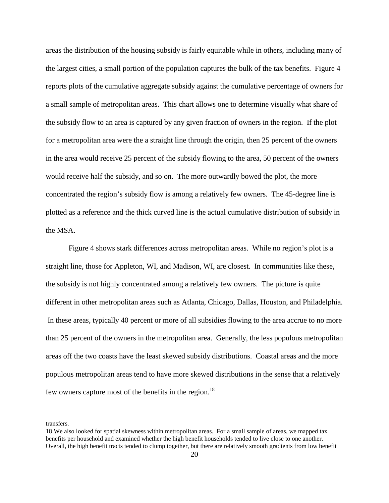areas the distribution of the housing subsidy is fairly equitable while in others, including many of the largest cities, a small portion of the population captures the bulk of the tax benefits. Figure 4 reports plots of the cumulative aggregate subsidy against the cumulative percentage of owners for a small sample of metropolitan areas. This chart allows one to determine visually what share of the subsidy flow to an area is captured by any given fraction of owners in the region. If the plot for a metropolitan area were the a straight line through the origin, then 25 percent of the owners in the area would receive 25 percent of the subsidy flowing to the area, 50 percent of the owners would receive half the subsidy, and so on. The more outwardly bowed the plot, the more concentrated the region's subsidy flow is among a relatively few owners. The 45-degree line is plotted as a reference and the thick curved line is the actual cumulative distribution of subsidy in the MSA.

Figure 4 shows stark differences across metropolitan areas. While no region's plot is a straight line, those for Appleton, WI, and Madison, WI, are closest. In communities like these, the subsidy is not highly concentrated among a relatively few owners. The picture is quite different in other metropolitan areas such as Atlanta, Chicago, Dallas, Houston, and Philadelphia. In these areas, typically 40 percent or more of all subsidies flowing to the area accrue to no more than 25 percent of the owners in the metropolitan area. Generally, the less populous metropolitan areas off the two coasts have the least skewed subsidy distributions. Coastal areas and the more populous metropolitan areas tend to have more skewed distributions in the sense that a relatively few owners capture most of the benefits in the region.<sup>18</sup>

transfers.

l

<sup>18</sup> We also looked for spatial skewness within metropolitan areas. For a small sample of areas, we mapped tax benefits per household and examined whether the high benefit households tended to live close to one another. Overall, the high benefit tracts tended to clump together, but there are relatively smooth gradients from low benefit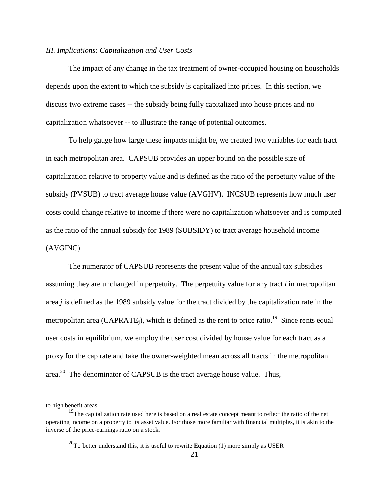## *III. Implications: Capitalization and User Costs*

The impact of any change in the tax treatment of owner-occupied housing on households depends upon the extent to which the subsidy is capitalized into prices. In this section, we discuss two extreme cases -- the subsidy being fully capitalized into house prices and no capitalization whatsoever -- to illustrate the range of potential outcomes.

 To help gauge how large these impacts might be, we created two variables for each tract in each metropolitan area. CAPSUB provides an upper bound on the possible size of capitalization relative to property value and is defined as the ratio of the perpetuity value of the subsidy (PVSUB) to tract average house value (AVGHV). INCSUB represents how much user costs could change relative to income if there were no capitalization whatsoever and is computed as the ratio of the annual subsidy for 1989 (SUBSIDY) to tract average household income (AVGINC).

The numerator of CAPSUB represents the present value of the annual tax subsidies assuming they are unchanged in perpetuity. The perpetuity value for any tract *i* in metropolitan area *j* is defined as the 1989 subsidy value for the tract divided by the capitalization rate in the metropolitan area (CAPRATE<sub>i</sub>), which is defined as the rent to price ratio.<sup>19</sup> Since rents equal user costs in equilibrium, we employ the user cost divided by house value for each tract as a proxy for the cap rate and take the owner-weighted mean across all tracts in the metropolitan area.20 The denominator of CAPSUB is the tract average house value. Thus,

l

to high benefit areas.

<sup>&</sup>lt;sup>19</sup>The capitalization rate used here is based on a real estate concept meant to reflect the ratio of the net operating income on a property to its asset value. For those more familiar with financial multiples, it is akin to the inverse of the price-earnings ratio on a stock.

 $^{20}$ To better understand this, it is useful to rewrite Equation (1) more simply as USER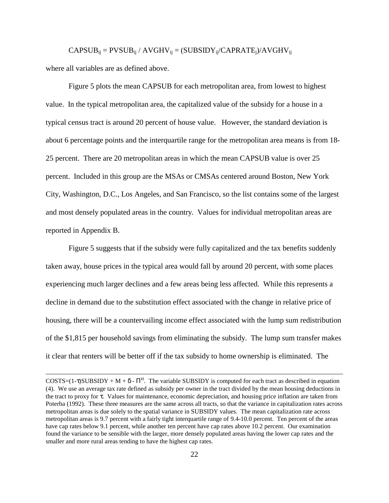$CAPSUB_{ij} = PVSUB_{ij} / AVGHV_{ij} = (SUBSIDY_{ij}/CAPRATE_{i})/AVGHV_{ij}$ 

where all variables are as defined above.

 $\overline{\phantom{a}}$ 

Figure 5 plots the mean CAPSUB for each metropolitan area, from lowest to highest value. In the typical metropolitan area, the capitalized value of the subsidy for a house in a typical census tract is around 20 percent of house value. However, the standard deviation is about 6 percentage points and the interquartile range for the metropolitan area means is from 18- 25 percent. There are 20 metropolitan areas in which the mean CAPSUB value is over 25 percent. Included in this group are the MSAs or CMSAs centered around Boston, New York City, Washington, D.C., Los Angeles, and San Francisco, so the list contains some of the largest and most densely populated areas in the country. Values for individual metropolitan areas are reported in Appendix B.

Figure 5 suggests that if the subsidy were fully capitalized and the tax benefits suddenly taken away, house prices in the typical area would fall by around 20 percent, with some places experiencing much larger declines and a few areas being less affected. While this represents a decline in demand due to the substitution effect associated with the change in relative price of housing, there will be a countervailing income effect associated with the lump sum redistribution of the \$1,815 per household savings from eliminating the subsidy. The lump sum transfer makes it clear that renters will be better off if the tax subsidy to home ownership is eliminated. The

COSTS=(1-τ)SUBSIDY + M +  $\delta$  -  $\Pi^H$ . The variable SUBSIDY is computed for each tract as described in equation (4). We use an average tax rate defined as subsidy per owner in the tract divided by the mean housing deductions in the tract to proxy for τ. Values for maintenance, economic depreciation, and housing price inflation are taken from Poterba (1992). These three measures are the same across all tracts, so that the variance in capitalization rates across metropolitan areas is due solely to the spatial variance in SUBSIDY values. The mean capitalization rate across metropolitan areas is 9.7 percent with a fairly tight interquartile range of 9.4-10.0 percent. Ten percent of the areas have cap rates below 9.1 percent, while another ten percent have cap rates above 10.2 percent. Our examination found the variance to be sensible with the larger, more densely populated areas having the lower cap rates and the smaller and more rural areas tending to have the highest cap rates.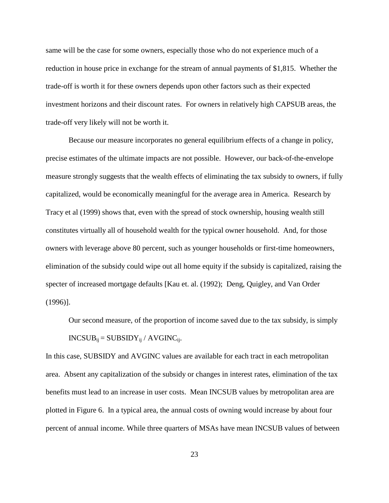same will be the case for some owners, especially those who do not experience much of a reduction in house price in exchange for the stream of annual payments of \$1,815. Whether the trade-off is worth it for these owners depends upon other factors such as their expected investment horizons and their discount rates. For owners in relatively high CAPSUB areas, the trade-off very likely will not be worth it.

Because our measure incorporates no general equilibrium effects of a change in policy, precise estimates of the ultimate impacts are not possible. However, our back-of-the-envelope measure strongly suggests that the wealth effects of eliminating the tax subsidy to owners, if fully capitalized, would be economically meaningful for the average area in America. Research by Tracy et al (1999) shows that, even with the spread of stock ownership, housing wealth still constitutes virtually all of household wealth for the typical owner household. And, for those owners with leverage above 80 percent, such as younger households or first-time homeowners, elimination of the subsidy could wipe out all home equity if the subsidy is capitalized, raising the specter of increased mortgage defaults [Kau et. al. (1992); Deng, Quigley, and Van Order (1996)].

Our second measure, of the proportion of income saved due to the tax subsidy, is simply

$$
INCSUB_{ij} = SUBSIDY_{ij} / AVGINC_{ij}.
$$

In this case, SUBSIDY and AVGINC values are available for each tract in each metropolitan area. Absent any capitalization of the subsidy or changes in interest rates, elimination of the tax benefits must lead to an increase in user costs. Mean INCSUB values by metropolitan area are plotted in Figure 6. In a typical area, the annual costs of owning would increase by about four percent of annual income. While three quarters of MSAs have mean INCSUB values of between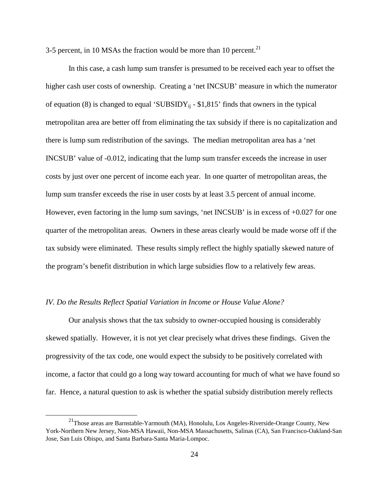3-5 percent, in 10 MSAs the fraction would be more than 10 percent.<sup>21</sup>

In this case, a cash lump sum transfer is presumed to be received each year to offset the higher cash user costs of ownership. Creating a 'net INCSUB' measure in which the numerator of equation (8) is changed to equal 'SUBSIDY $_{ii}$  - \$1,815' finds that owners in the typical metropolitan area are better off from eliminating the tax subsidy if there is no capitalization and there is lump sum redistribution of the savings. The median metropolitan area has a 'net INCSUB' value of -0.012, indicating that the lump sum transfer exceeds the increase in user costs by just over one percent of income each year. In one quarter of metropolitan areas, the lump sum transfer exceeds the rise in user costs by at least 3.5 percent of annual income. However, even factoring in the lump sum savings, 'net INCSUB' is in excess of  $+0.027$  for one quarter of the metropolitan areas. Owners in these areas clearly would be made worse off if the tax subsidy were eliminated. These results simply reflect the highly spatially skewed nature of the program's benefit distribution in which large subsidies flow to a relatively few areas.

## *IV. Do the Results Reflect Spatial Variation in Income or House Value Alone?*

 Our analysis shows that the tax subsidy to owner-occupied housing is considerably skewed spatially. However, it is not yet clear precisely what drives these findings. Given the progressivity of the tax code, one would expect the subsidy to be positively correlated with income, a factor that could go a long way toward accounting for much of what we have found so far. Hence, a natural question to ask is whether the spatial subsidy distribution merely reflects

<sup>&</sup>lt;sup>21</sup>Those areas are Barnstable-Yarmouth (MA), Honolulu, Los Angeles-Riverside-Orange County, New York-Northern New Jersey, Non-MSA Hawaii, Non-MSA Massachusetts, Salinas (CA), San Francisco-Oakland-San Jose, San Luis Obispo, and Santa Barbara-Santa Maria-Lompoc.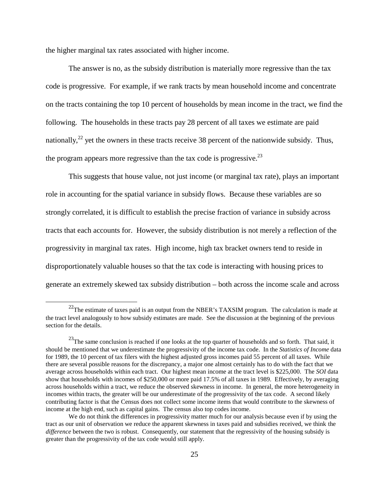the higher marginal tax rates associated with higher income.

The answer is no, as the subsidy distribution is materially more regressive than the tax code is progressive. For example, if we rank tracts by mean household income and concentrate on the tracts containing the top 10 percent of households by mean income in the tract, we find the following. The households in these tracts pay 28 percent of all taxes we estimate are paid nationally,  $2^2$  yet the owners in these tracts receive 38 percent of the nationwide subsidy. Thus, the program appears more regressive than the tax code is progressive. $^{23}$ 

This suggests that house value, not just income (or marginal tax rate), plays an important role in accounting for the spatial variance in subsidy flows. Because these variables are so strongly correlated, it is difficult to establish the precise fraction of variance in subsidy across tracts that each accounts for. However, the subsidy distribution is not merely a reflection of the progressivity in marginal tax rates. High income, high tax bracket owners tend to reside in disproportionately valuable houses so that the tax code is interacting with housing prices to generate an extremely skewed tax subsidy distribution – both across the income scale and across

 $22$ The estimate of taxes paid is an output from the NBER's TAXSIM program. The calculation is made at the tract level analogously to how subsidy estimates are made. See the discussion at the beginning of the previous section for the details.

<sup>&</sup>lt;sup>23</sup>The same conclusion is reached if one looks at the top quarter of households and so forth. That said, it should be mentioned that we underestimate the progressivity of the income tax code. In the *Statistics of Income* data for 1989, the 10 percent of tax filers with the highest adjusted gross incomes paid 55 percent of all taxes. While there are several possible reasons for the discrepancy, a major one almost certainly has to do with the fact that we average across households within each tract. Our highest mean income at the tract level is \$225,000. The *SOI* data show that households with incomes of \$250,000 or more paid 17.5% of all taxes in 1989. Effectively, by averaging across households within a tract, we reduce the observed skewness in income. In general, the more heterogeneity in incomes within tracts, the greater will be our underestimate of the progressivity of the tax code. A second likely contributing factor is that the Census does not collect some income items that would contribute to the skewness of income at the high end, such as capital gains. The census also top codes income.

We do not think the differences in progressivity matter much for our analysis because even if by using the tract as our unit of observation we reduce the apparent skewness in taxes paid and subsidies received, we think the *difference* between the two is robust. Consequently, our statement that the regressivity of the housing subsidy is greater than the progressivity of the tax code would still apply.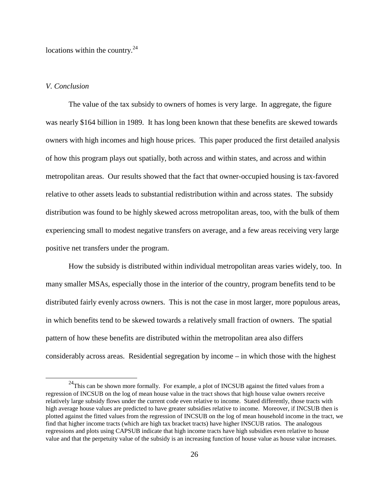locations within the country. $^{24}$ 

## *V. Conclusion*

The value of the tax subsidy to owners of homes is very large. In aggregate, the figure was nearly \$164 billion in 1989. It has long been known that these benefits are skewed towards owners with high incomes and high house prices. This paper produced the first detailed analysis of how this program plays out spatially, both across and within states, and across and within metropolitan areas. Our results showed that the fact that owner-occupied housing is tax-favored relative to other assets leads to substantial redistribution within and across states. The subsidy distribution was found to be highly skewed across metropolitan areas, too, with the bulk of them experiencing small to modest negative transfers on average, and a few areas receiving very large positive net transfers under the program.

How the subsidy is distributed within individual metropolitan areas varies widely, too. In many smaller MSAs, especially those in the interior of the country, program benefits tend to be distributed fairly evenly across owners. This is not the case in most larger, more populous areas, in which benefits tend to be skewed towards a relatively small fraction of owners. The spatial pattern of how these benefits are distributed within the metropolitan area also differs considerably across areas. Residential segregation by income – in which those with the highest

 $24$ This can be shown more formally. For example, a plot of INCSUB against the fitted values from a regression of INCSUB on the log of mean house value in the tract shows that high house value owners receive relatively large subsidy flows under the current code even relative to income. Stated differently, those tracts with high average house values are predicted to have greater subsidies relative to income. Moreover, if INCSUB then is plotted against the fitted values from the regression of INCSUB on the log of mean household income in the tract, we find that higher income tracts (which are high tax bracket tracts) have higher INSCUB ratios. The analogous regressions and plots using CAPSUB indicate that high income tracts have high subsidies even relative to house value and that the perpetuity value of the subsidy is an increasing function of house value as house value increases.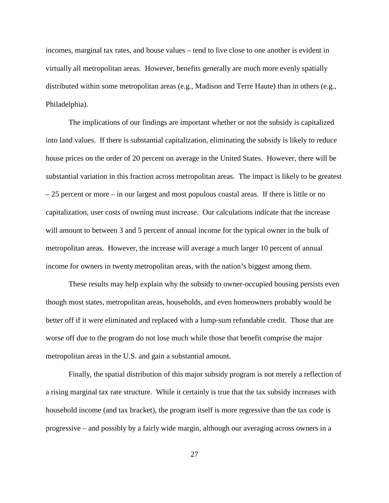incomes, marginal tax rates, and house values – tend to live close to one another is evident in virtually all metropolitan areas. However, benefits generally are much more evenly spatially distributed within some metropolitan areas (e.g., Madison and Terre Haute) than in others (e.g., Philadelphia).

The implications of our findings are important whether or not the subsidy is capitalized into land values. If there is substantial capitalization, eliminating the subsidy is likely to reduce house prices on the order of 20 percent on average in the United States. However, there will be substantial variation in this fraction across metropolitan areas. The impact is likely to be greatest – 25 percent or more – in our largest and most populous coastal areas. If there is little or no capitalization, user costs of owning must increase. Our calculations indicate that the increase will amount to between 3 and 5 percent of annual income for the typical owner in the bulk of metropolitan areas. However, the increase will average a much larger 10 percent of annual income for owners in twenty metropolitan areas, with the nation's biggest among them.

These results may help explain why the subsidy to owner-occupied housing persists even though most states, metropolitan areas, households, and even homeowners probably would be better off if it were eliminated and replaced with a lump-sum refundable credit. Those that are worse off due to the program do not lose much while those that benefit comprise the major metropolitan areas in the U.S. and gain a substantial amount.

Finally, the spatial distribution of this major subsidy program is not merely a reflection of a rising marginal tax rate structure. While it certainly is true that the tax subsidy increases with household income (and tax bracket), the program itself is more regressive than the tax code is progressive – and possibly by a fairly wide margin, although our averaging across owners in a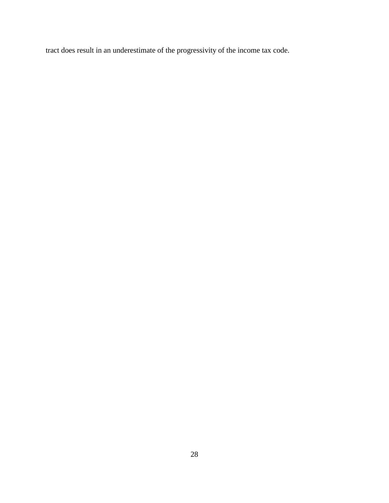tract does result in an underestimate of the progressivity of the income tax code.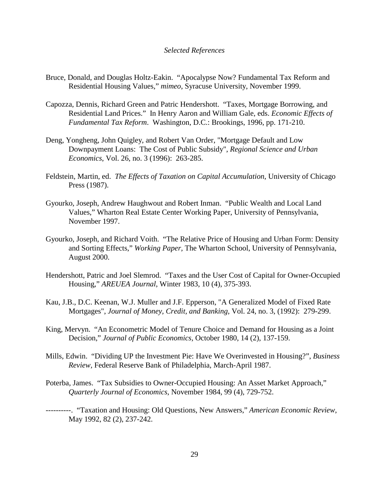### *Selected References*

- Bruce, Donald, and Douglas Holtz-Eakin. "Apocalypse Now? Fundamental Tax Reform and Residential Housing Values," *mimeo*, Syracuse University, November 1999.
- Capozza, Dennis, Richard Green and Patric Hendershott. "Taxes, Mortgage Borrowing, and Residential Land Prices." In Henry Aaron and William Gale, eds. *Economic Effects of Fundamental Tax Reform*. Washington, D.C.: Brookings, 1996, pp. 171-210.
- Deng, Yongheng, John Quigley, and Robert Van Order, "Mortgage Default and Low Downpayment Loans: The Cost of Public Subsidy", *Regional Science and Urban Economics*, Vol. 26, no. 3 (1996): 263-285.
- Feldstein, Martin, ed. *The Effects of Taxation on Capital Accumulation*, University of Chicago Press (1987).
- Gyourko, Joseph, Andrew Haughwout and Robert Inman. "Public Wealth and Local Land Values," Wharton Real Estate Center Working Paper, University of Pennsylvania, November 1997.
- Gyourko, Joseph, and Richard Voith. "The Relative Price of Housing and Urban Form: Density and Sorting Effects," *Working Paper,* The Wharton School, University of Pennsylvania, August 2000.
- Hendershott, Patric and Joel Slemrod. "Taxes and the User Cost of Capital for Owner-Occupied Housing," *AREUEA Journal*, Winter 1983, 10 (4), 375-393.
- Kau, J.B., D.C. Keenan, W.J. Muller and J.F. Epperson, "A Generalized Model of Fixed Rate Mortgages", *Journal of Money, Credit, and Banking*, Vol. 24, no. 3, (1992): 279-299.
- King, Mervyn. "An Econometric Model of Tenure Choice and Demand for Housing as a Joint Decision," *Journal of Public Economics,* October 1980, 14 (2), 137-159.
- Mills, Edwin. "Dividing UP the Investment Pie: Have We Overinvested in Housing?", *Business Review,* Federal Reserve Bank of Philadelphia, March-April 1987.
- Poterba, James. "Tax Subsidies to Owner-Occupied Housing: An Asset Market Approach," *Quarterly Journal of Economics*, November 1984, 99 (4), 729-752.
- ----------. "Taxation and Housing: Old Questions, New Answers," *American Economic Review*, May 1992, 82 (2), 237-242.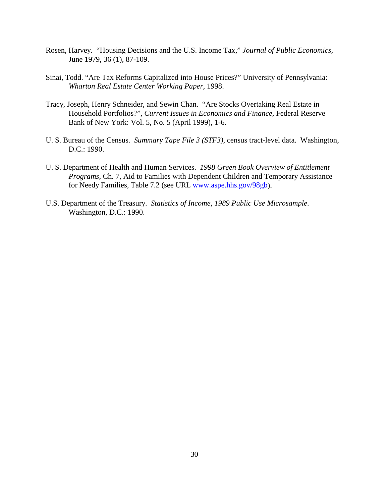- Rosen, Harvey. "Housing Decisions and the U.S. Income Tax," *Journal of Public Economics,*  June 1979, 36 (1), 87-109.
- Sinai, Todd. "Are Tax Reforms Capitalized into House Prices?" University of Pennsylvania: *Wharton Real Estate Center Working Paper,* 1998.
- Tracy, Joseph, Henry Schneider, and Sewin Chan. "Are Stocks Overtaking Real Estate in Household Portfolios?", *Current Issues in Economics and Finance,* Federal Reserve Bank of New York: Vol. 5, No. 5 (April 1999), 1-6.
- U. S. Bureau of the Census. *Summary Tape File 3 (STF3)*, census tract-level data. Washington, D.C.: 1990.
- U. S. Department of Health and Human Services. *1998 Green Book Overview of Entitlement Programs*, Ch. 7, Aid to Families with Dependent Children and Temporary Assistance for Needy Families, Table 7.2 (see UR[L www.aspe.hhs.gov/98gb\)](http://www.aspe.hhs.gov/98gb/).
- U.S. Department of the Treasury. *Statistics of Income, 1989 Public Use Microsample*. Washington, D.C.: 1990.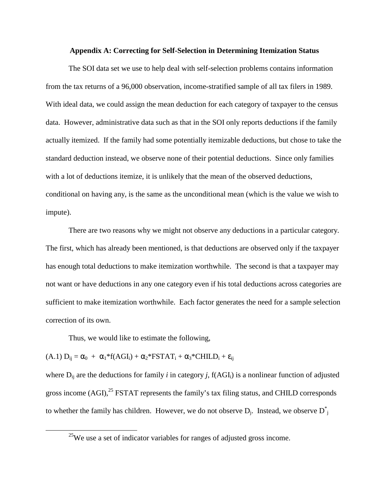#### **Appendix A: Correcting for Self-Selection in Determining Itemization Status**

The SOI data set we use to help deal with self-selection problems contains information from the tax returns of a 96,000 observation, income-stratified sample of all tax filers in 1989. With ideal data, we could assign the mean deduction for each category of taxpayer to the census data. However, administrative data such as that in the SOI only reports deductions if the family actually itemized. If the family had some potentially itemizable deductions, but chose to take the standard deduction instead, we observe none of their potential deductions. Since only families with a lot of deductions itemize, it is unlikely that the mean of the observed deductions, conditional on having any, is the same as the unconditional mean (which is the value we wish to impute).

There are two reasons why we might not observe any deductions in a particular category. The first, which has already been mentioned, is that deductions are observed only if the taxpayer has enough total deductions to make itemization worthwhile. The second is that a taxpayer may not want or have deductions in any one category even if his total deductions across categories are sufficient to make itemization worthwhile. Each factor generates the need for a sample selection correction of its own.

Thus, we would like to estimate the following,

 $(A.1) D_{ii} = \alpha_0 + \alpha_1 * f(AGI_i) + \alpha_2 * FSTAT_i + \alpha_3 *CHILD_i + \epsilon_{ii}$ 

where  $D_{ii}$  are the deductions for family *i* in category *j*,  $f(AGI_i)$  is a nonlinear function of adjusted gross income  $(AGI)$ ,<sup>25</sup> FSTAT represents the family's tax filing status, and CHILD corresponds to whether the family has children. However, we do not observe  $D_j$ . Instead, we observe  $D_j^*$ 

<sup>&</sup>lt;sup>25</sup>We use a set of indicator variables for ranges of adjusted gross income.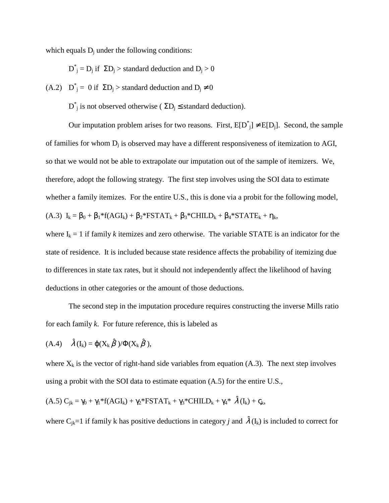which equals  $D_i$  under the following conditions:

 $D^*$ <sub>j</sub> = D<sub>j</sub> if  $\Sigma D_j$  > standard deduction and  $D_j$  > 0

(A.2) 
$$
D^*_{j} = 0
$$
 if  $\Sigma D_j >$  standard deduction and  $D_j \neq 0$ 

 $D^*$  is not observed otherwise ( $\Sigma D_j \le$  standard deduction).

Our imputation problem arises for two reasons. First,  $E[D^*_{j}] \neq E[D_j]$ . Second, the sample of families for whom  $D_i$  is observed may have a different responsiveness of itemization to AGI, so that we would not be able to extrapolate our imputation out of the sample of itemizers. We, therefore, adopt the following strategy. The first step involves using the SOI data to estimate whether a family itemizes. For the entire U.S., this is done via a probit for the following model, (A.3)  $I_k = \beta_0 + \beta_1 * f(AGI_k) + \beta_2 * FSTAT_k + \beta_3 * CHILD_k + \beta_4 * STATE_k + \eta_k$ 

where  $I_k = 1$  if family *k* itemizes and zero otherwise. The variable STATE is an indicator for the state of residence. It is included because state residence affects the probability of itemizing due to differences in state tax rates, but it should not independently affect the likelihood of having deductions in other categories or the amount of those deductions.

The second step in the imputation procedure requires constructing the inverse Mills ratio for each family *k*. For future reference, this is labeled as

$$
(A.4) \quad \hat{\lambda}(I_k) = \varphi(X_k \hat{\beta}) / \Phi(X_k \hat{\beta}),
$$

where  $X_k$  is the vector of right-hand side variables from equation (A.3). The next step involves using a probit with the SOI data to estimate equation (A.5) for the entire U.S.,

$$
(A.5) C_{jk} = \gamma_0 + \gamma_1 * f(AGI_k) + \gamma_2 * FSTAT_k + \gamma_3 * CHILD_k + \gamma_4 * \hat{\lambda}(I_k) + \varsigma_k,
$$

where C<sub>jk</sub>=1 if family k has positive deductions in category *j* and  $\hat{\lambda}$  (I<sub>k</sub>) is included to correct for